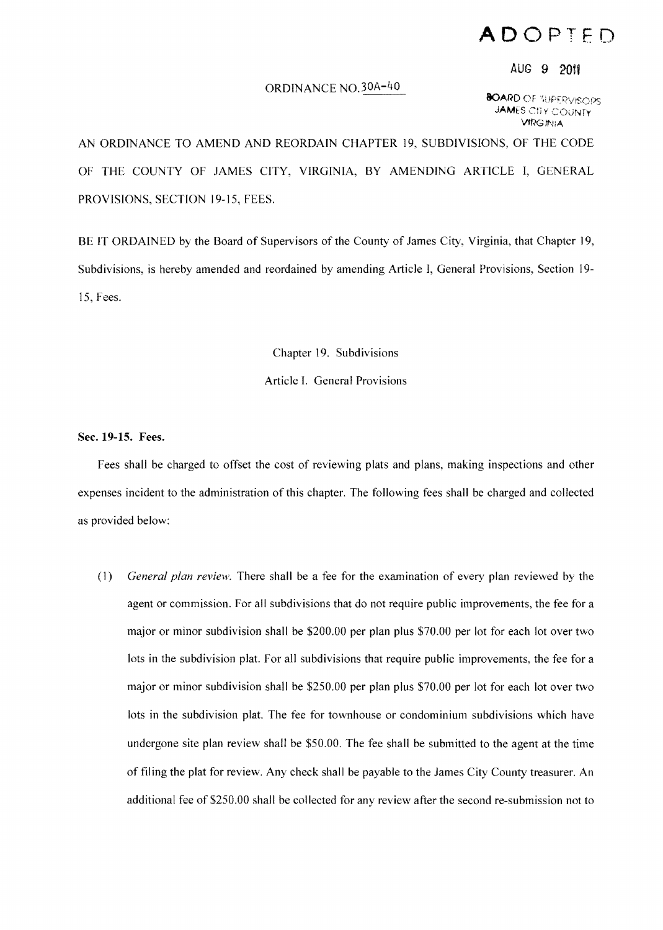## **ADOPTED**

## AUG 9 2011

## ORDINANCE NO.30A-40

**BOARD** OF TUPERVISOPS **JAMES CITY COUNTY** VfRGIN:A

AN ORDINANCE TO AMEND AND REORDAIN CHAPTER 19, SUBDIVISIONS, OF THE CODE OF THE COUNTY OF JAMES CITY, VIRGINIA, BY AMENDING ARTICLE I, GENERAL PROVISIONS, SECTION 19-15, FEES.

BE IT ORDAINED by the Board of Supervisors of the County of James City, Virginia, that Chapter 19, Subdivisions, is hereby amended and reordained by amending Article I, General Provisions, Section 19 15, Fees.

> Chapter 19. Subdivisions Article I. General Provisions

Sec. **19-15.** Fees.

Fees shall be charged to offset the cost of reviewing plats and plans, making inspections and other expenses incident to the administration of this chapter. The following fees shall be charged and collected as provided below:

*(1) General plan review.* There shall be a fee for the examination of every plan reviewed by the agent or commission. For all subdivisions that do not require public improvements, the fee for a major or minor subdivision shall be \$200.00 per plan plus \$70.00 per lot for each lot over two lots in the subdivision plat. For all subdivisions that require public improvements, the fee for a major or minor subdivision shall be \$250.00 per plan plus \$70.00 per lot for each lot over two lots in the subdivision plat. The fee for townhouse or condominium subdivisions which have undergone site plan review shall be \$50.00. The fee shall be submitted to the agent at the time offiling the plat for review. Any check shall be payable to the James City County treasurer. An additional fee of \$250.00 shall be collected for any review after the second re-submission not to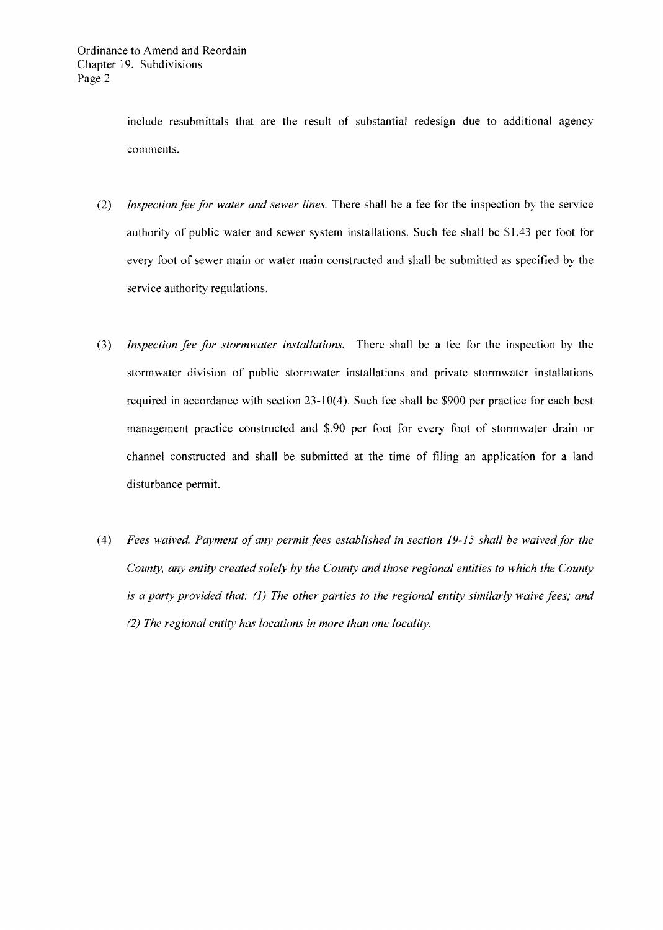include resubmittals that are the result of substantial redesign due to additional agency comments.

- *(2) Inspection fee for water and sewer lines.* There shall be a fee for the inspection by the service authority of public water and sewer system installations. Such fee shall be \$1.43 per foot for every foot of sewer main or water main constructed and shall be submitted as specified by the service authority regulations.
- *(3) Inspection fee for storm water installations.* There shall be a fee for the inspection by the stormwater division of public stormwater installations and private stormwater installations required in accordance with section 23-10(4). Such fee shall be \$900 per practice for each best management practice constructed and \$.90 per foot for every foot of stormwater drain or channel constructed and shall be submitted at the time of filing an application for a land disturbance permit.
- (4) *Fees waived. Payment of any permit fees established in section 19-15 shall be waived for the County, any entity created solely by the County and those regional entities to which the County is a party provided that:* (1) *The other parties to the regional entity similarly waive fees; and (2) The regional entity has locations in more than one locality.*